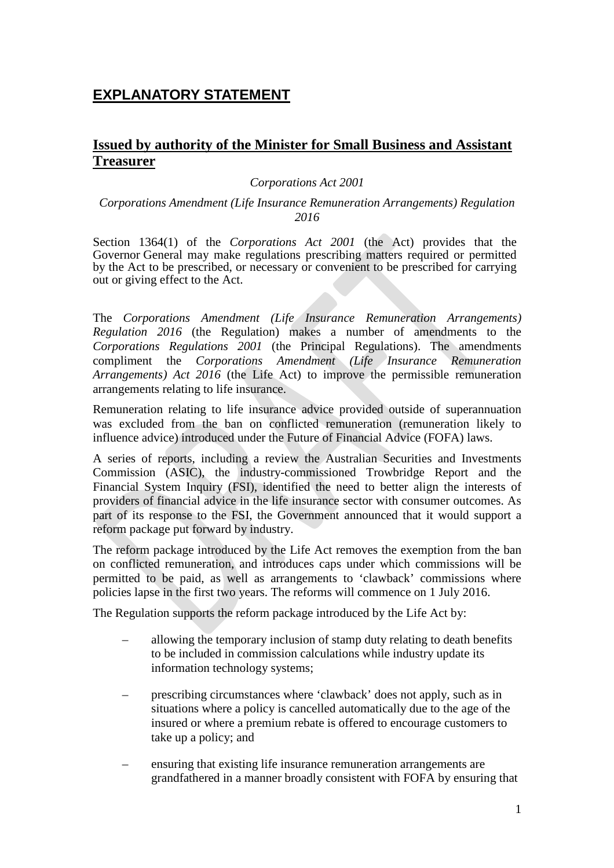# **EXPLANATORY STATEMENT**

## **Issued by authority of the Minister for Small Business and Assistant Treasurer**

#### *Corporations Act 2001*

#### *Corporations Amendment (Life Insurance Remuneration Arrangements) Regulation 2016*

 Section 1364(1) of the *Corporations Act 2001* (the Act) provides that the Governor General may make regulations prescribing matters required or permitted by the Act to be prescribed, or necessary or convenient to be prescribed for carrying out or giving effect to the Act.

 The *Corporations Amendment (Life Insurance Remuneration Arrangements) Regulation 2016* (the Regulation) makes a number of amendments to the  *Corporations Regulations 2001* (the Principal Regulations). The amendments  compliment the *Corporations Amendment (Life Insurance Remuneration Arrangements) Act 2016* (the Life Act) to improve the permissible remuneration arrangements relating to life insurance.

 Remuneration relating to life insurance advice provided outside of superannuation was excluded from the ban on conflicted remuneration (remuneration likely to influence advice) introduced under the Future of Financial Advice (FOFA) laws.

 A series of reports, including a review the Australian Securities and Investments Commission (ASIC), the industry-commissioned Trowbridge Report and the Financial System Inquiry (FSI), identified the need to better align the interests of providers of financial advice in the life insurance sector with consumer outcomes. As part of its response to the FSI, the Government announced that it would support a reform package put forward by industry.

 The reform package introduced by the Life Act removes the exemption from the ban on conflicted remuneration, and introduces caps under which commissions will be permitted to be paid, as well as arrangements to 'clawback' commissions where policies lapse in the first two years. The reforms will commence on 1 July 2016.

The Regulation supports the reform package introduced by the Life Act by:

- – allowing the temporary inclusion of stamp duty relating to death benefits to be included in commission calculations while industry update its information technology systems;
- situations where a policy is cancelled automatically due to the age of the insured or where a premium rebate is offered to encourage customers to prescribing circumstances where 'clawback' does not apply, such as in take up a policy; and
- ensuring that existing life insurance remuneration arrangements are grandfathered in a manner broadly consistent with FOFA by ensuring that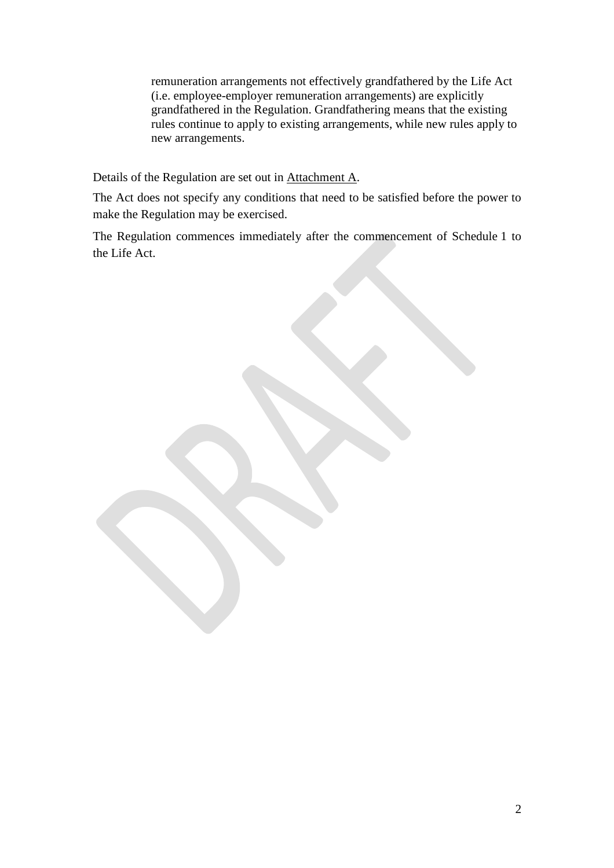(i.e. employee-employer remuneration arrangements) are explicitly grandfathered in the Regulation. Grandfathering means that the existing rules continue to apply to existing arrangements, while new rules apply to remuneration arrangements not effectively grandfathered by the Life Act new arrangements.

Details of the Regulation are set out in **Attachment A**.

 The Act does not specify any conditions that need to be satisfied before the power to make the Regulation may be exercised.

 The Regulation commences immediately after the commencement of Schedule 1 to the Life Act.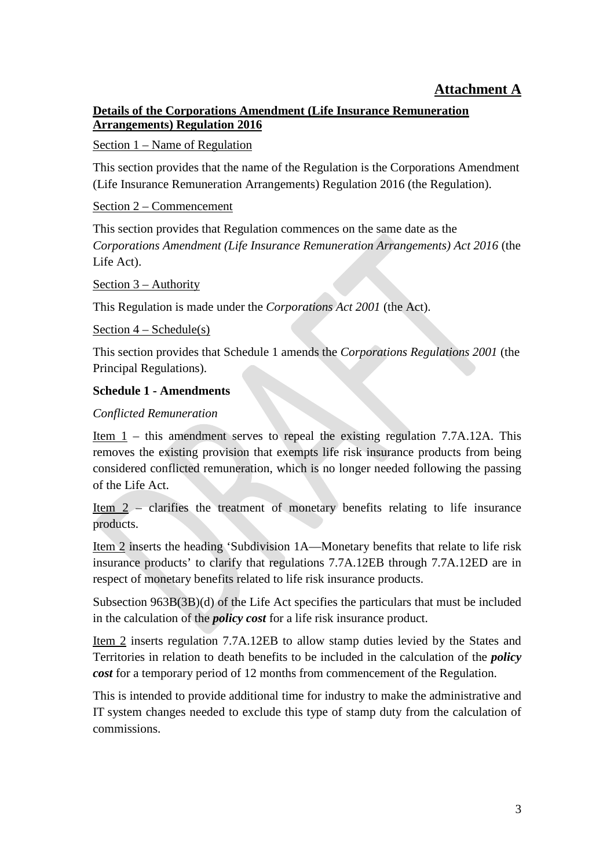# **Attachment A**

## **Details of the Corporations Amendment (Life Insurance Remuneration Arrangements) Regulation 2016**

#### Section 1 – Name of Regulation

 This section provides that the name of the Regulation is the Corporations Amendment (Life Insurance Remuneration Arrangements) Regulation 2016 (the Regulation).

#### Section 2 – Commencement

 *Corporations Amendment (Life Insurance Remuneration Arrangements) Act 2016* (the This section provides that Regulation commences on the same date as the Life Act).

Section  $3 -$  Authority

Section 3 – Authority<br>This Regulation is made under the *Corporations Act 2001* (the Act).

Section  $4 - \text{Scheduling}(\text{s})$ 

This section provides that Schedule 1 amends the *Corporations Regulations 2001* (the Principal Regulations).

## **Schedule 1 - Amendments**

## *Conflicted Remuneration*

Item  $1$  – this amendment serves to repeal the existing regulation 7.7A.12A. This removes the existing provision that exempts life risk insurance products from being considered conflicted remuneration, which is no longer needed following the passing of the Life Act.

Item  $2$  – clarifies the treatment of monetary benefits relating to life insurance products.

 Item 2 inserts the heading 'Subdivision 1A—Monetary benefits that relate to life risk insurance products' to clarify that regulations 7.7A.12EB through 7.7A.12ED are in respect of monetary benefits related to life risk insurance products.

 Subsection 963B(3B)(d) of the Life Act specifies the particulars that must be included in the calculation of the *policy cost* for a life risk insurance product.

Item 2 inserts regulation 7.7A.12EB to allow stamp duties levied by the States and Territories in relation to death benefits to be included in the calculation of the *policy cost* for a temporary period of 12 months from commencement of the Regulation.

 This is intended to provide additional time for industry to make the administrative and IT system changes needed to exclude this type of stamp duty from the calculation of commissions.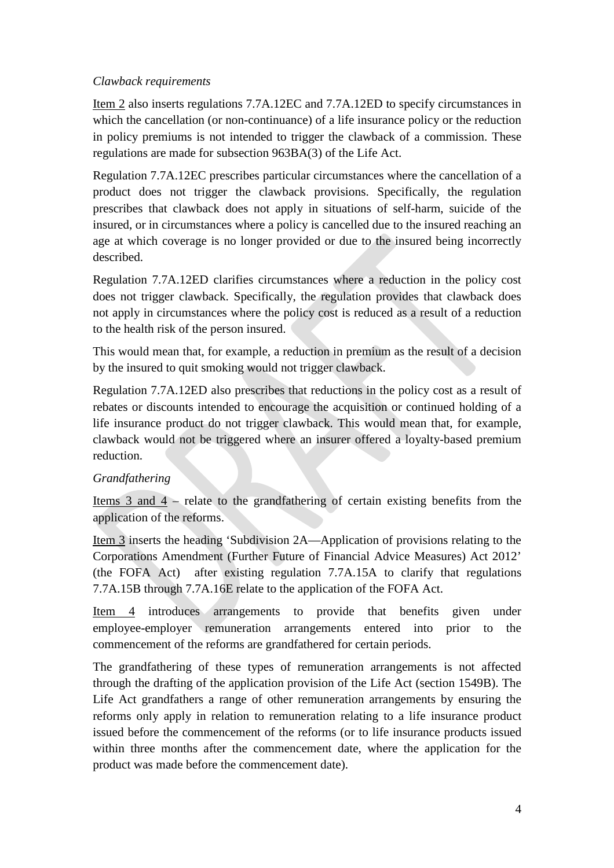## *Clawback requirements*

Item 2 also inserts regulations 7.7A.12EC and 7.7A.12ED to specify circumstances in which the cancellation (or non-continuance) of a life insurance policy or the reduction in policy premiums is not intended to trigger the clawback of a commission. These regulations are made for subsection 963BA(3) of the Life Act.

 Regulation 7.7A.12EC prescribes particular circumstances where the cancellation of a product does not trigger the clawback provisions. Specifically, the regulation prescribes that clawback does not apply in situations of self-harm, suicide of the insured, or in circumstances where a policy is cancelled due to the insured reaching an age at which coverage is no longer provided or due to the insured being incorrectly described.

 Regulation 7.7A.12ED clarifies circumstances where a reduction in the policy cost does not trigger clawback. Specifically, the regulation provides that clawback does not apply in circumstances where the policy cost is reduced as a result of a reduction to the health risk of the person insured.

 This would mean that, for example, a reduction in premium as the result of a decision by the insured to quit smoking would not trigger clawback.

 Regulation 7.7A.12ED also prescribes that reductions in the policy cost as a result of rebates or discounts intended to encourage the acquisition or continued holding of a life insurance product do not trigger clawback. This would mean that, for example, clawback would not be triggered where an insurer offered a loyalty-based premium reduction.

## *Grandfathering*

Items  $3$  and  $4$  – relate to the grandfathering of certain existing benefits from the application of the reforms.

 Item 3 inserts the heading 'Subdivision 2A—Application of provisions relating to the Corporations Amendment (Further Future of Financial Advice Measures) Act 2012' (the FOFA Act) after existing regulation 7.7A.15A to clarify that regulations 7.7A.15B through 7.7A.16E relate to the application of the FOFA Act.

Item 4 introduces arrangements to provide that benefits given under employee-employer remuneration arrangements entered into prior to the commencement of the reforms are grandfathered for certain periods.

 The grandfathering of these types of remuneration arrangements is not affected through the drafting of the application provision of the Life Act (section 1549B). The Life Act grandfathers a range of other remuneration arrangements by ensuring the reforms only apply in relation to remuneration relating to a life insurance product issued before the commencement of the reforms (or to life insurance products issued within three months after the commencement date, where the application for the product was made before the commencement date).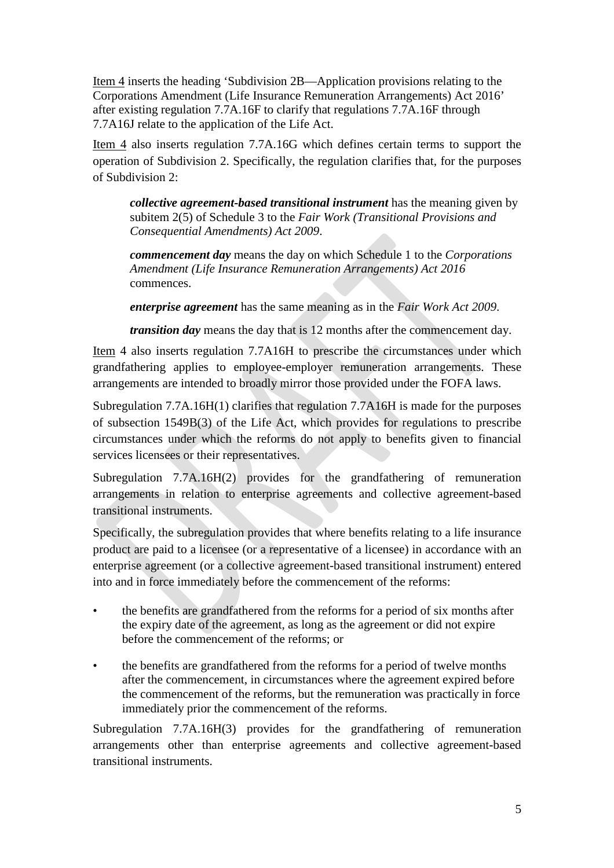Corporations Amendment (Life Insurance Remuneration Arrangements) Act 2016' Corporations Amendment (Life Insurance Remuneration Arrangements) Act 2016' after existing regulation 7.7A.16F to clarify that regulations 7.7A.16F through 7.7A16J relate to the application of the Life Act. Item 4 inserts the heading 'Subdivision 2B—Application provisions relating to the

Item 4 also inserts regulation 7.7A.16G which defines certain terms to support the operation of Subdivision 2. Specifically, the regulation clarifies that, for the purposes of Subdivision 2:

 subitem 2(5) of Schedule 3 to the *Fair Work (Transitional Provisions and collective agreement-based transitional instrument* has the meaning given by *Consequential Amendments) Act 2009*.

*commencement day* means the day on which Schedule 1 to the *Corporations Amendment (Life Insurance Remuneration Arrangements) Act 2016*  commences.

*enterprise agreement* has the same meaning as in the *Fair Work Act 2009*.

*transition day* means the day that is 12 months after the commencement day.

Item 4 also inserts regulation 7.7A16H to prescribe the circumstances under which grandfathering applies to employee-employer remuneration arrangements. These arrangements are intended to broadly mirror those provided under the FOFA laws.

 Subregulation 7.7A.16H(1) clarifies that regulation 7.7A16H is made for the purposes of subsection 1549B(3) of the Life Act, which provides for regulations to prescribe circumstances under which the reforms do not apply to benefits given to financial services licensees or their representatives.

Subregulation  $7.7A.16H(2)$  provides for the grandfathering of remuneration arrangements in relation to enterprise agreements and collective agreement-based transitional instruments.

 Specifically, the subregulation provides that where benefits relating to a life insurance product are paid to a licensee (or a representative of a licensee) in accordance with an enterprise agreement (or a collective agreement-based transitional instrument) entered into and in force immediately before the commencement of the reforms:

- the benefits are grandfathered from the reforms for a period of six months after the expiry date of the agreement, as long as the agreement or did not expire before the commencement of the reforms; or
- the benefits are grandfathered from the reforms for a period of twelve months after the commencement, in circumstances where the agreement expired before the commencement of the reforms, but the remuneration was practically in force immediately prior the commencement of the reforms.

 Subregulation 7.7A.16H(3) provides for the grandfathering of remuneration arrangements other than enterprise agreements and collective agreement-based transitional instruments.